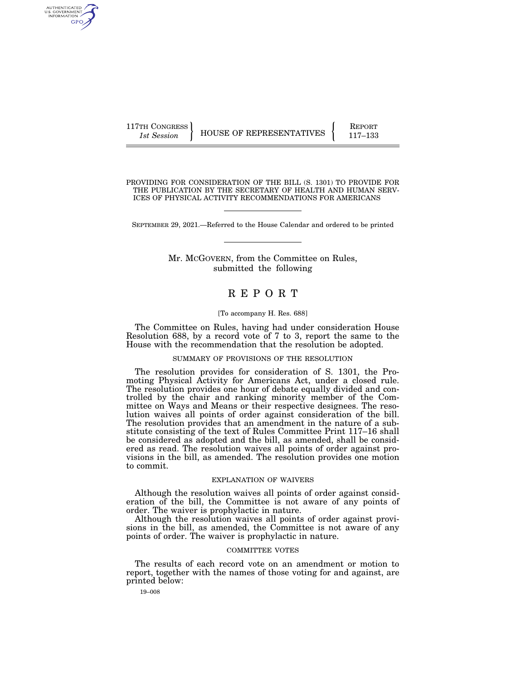| 117TH CONGRESS |                          | <b>REPORT</b> |
|----------------|--------------------------|---------------|
| 1st Session    | HOUSE OF REPRESENTATIVES | 117–133       |

PROVIDING FOR CONSIDERATION OF THE BILL (S. 1301) TO PROVIDE FOR THE PUBLICATION BY THE SECRETARY OF HEALTH AND HUMAN SERV-ICES OF PHYSICAL ACTIVITY RECOMMENDATIONS FOR AMERICANS

SEPTEMBER 29, 2021.—Referred to the House Calendar and ordered to be printed

### Mr. MCGOVERN, from the Committee on Rules, submitted the following

## R E P O R T

#### [To accompany H. Res. 688]

The Committee on Rules, having had under consideration House Resolution 688, by a record vote of 7 to 3, report the same to the House with the recommendation that the resolution be adopted.

#### SUMMARY OF PROVISIONS OF THE RESOLUTION

The resolution provides for consideration of S. 1301, the Promoting Physical Activity for Americans Act, under a closed rule. The resolution provides one hour of debate equally divided and controlled by the chair and ranking minority member of the Committee on Ways and Means or their respective designees. The resolution waives all points of order against consideration of the bill. The resolution provides that an amendment in the nature of a substitute consisting of the text of Rules Committee Print 117–16 shall be considered as adopted and the bill, as amended, shall be considered as read. The resolution waives all points of order against provisions in the bill, as amended. The resolution provides one motion to commit.

#### EXPLANATION OF WAIVERS

Although the resolution waives all points of order against consideration of the bill, the Committee is not aware of any points of order. The waiver is prophylactic in nature.

Although the resolution waives all points of order against provisions in the bill, as amended, the Committee is not aware of any points of order. The waiver is prophylactic in nature.

#### COMMITTEE VOTES

The results of each record vote on an amendment or motion to report, together with the names of those voting for and against, are printed below:

19–008

AUTHENTICATED<br>U.S. GOVERNMENT<br>INFORMATION GPO